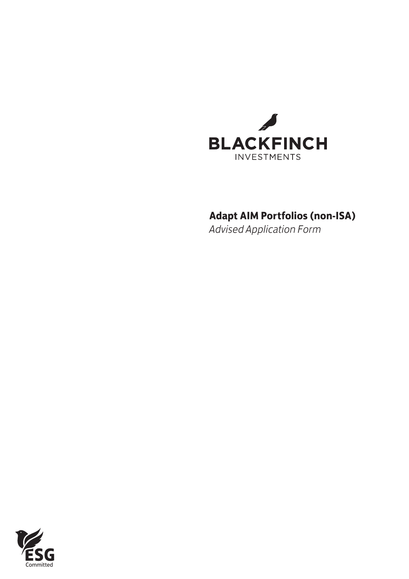

## **Adapt AIM Portfolios (non-ISA)**

*Advised Application Form*

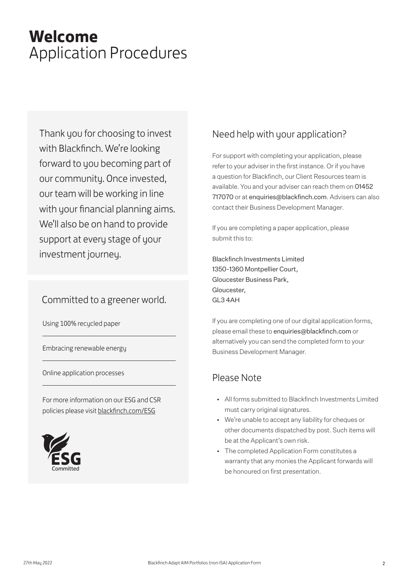# **Welcome** Application Procedures

Thank you for choosing to invest with Blackfinch. We're looking forward to you becoming part of our community. Once invested, our team will be working in line with your financial planning aims. We'll also be on hand to provide support at every stage of your investment journey.

## Committed to a greener world.

Using 100% recycled paper

Embracing renewable energy

Online application processes

For more information on our ESG and CSR policies please visit blackfinch.com/ESG



## Need help with your application?

For support with completing your application, please refer to your adviser in the first instance. Or if you have a question for Blackfinch, our Client Resources team is available. You and your adviser can reach them on 01452 717070 or at enquiries@blackfinch.com. Advisers can also contact their Business Development Manager.

If you are completing a paper application, please submit this to:

Blackfinch Investments Limited 1350-1360 Montpellier Court, Gloucester Business Park, Gloucester, GL3 4AH

If you are completing one of our digital application forms, please email these to enquiries@blackfinch.com or alternatively you can send the completed form to your Business Development Manager.

## Please Note

- All forms submitted to Blackfinch Investments Limited must carry original signatures.
- We're unable to accept any liability for cheques or other documents dispatched by post. Such items will be at the Applicant's own risk.
- The completed Application Form constitutes a warranty that any monies the Applicant forwards will be honoured on first presentation.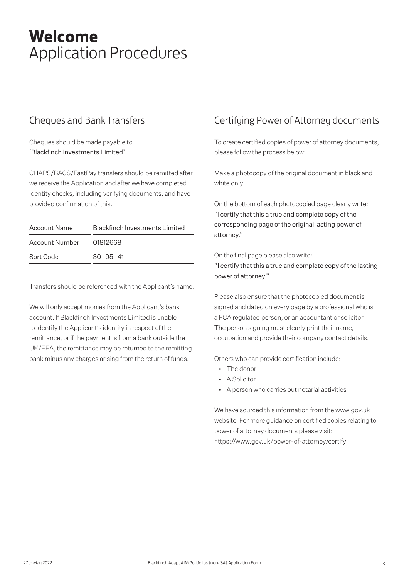# **Welcome** Application Procedures

## Cheques and Bank Transfers

Cheques should be made payable to 'Blackfinch Investments Limited'

CHAPS/BACS/FastPay transfers should be remitted after we receive the Application and after we have completed identity checks, including verifying documents, and have provided confirmation of this.

| <b>Account Name</b> | <b>Blackfinch Investments Limited</b> |
|---------------------|---------------------------------------|
| Account Number      | 01812668                              |
| Sort Code           | $30 - 95 - 41$                        |

Transfers should be referenced with the Applicant's name.

We will only accept monies from the Applicant's bank account. If Blackfinch Investments Limited is unable to identify the Applicant's identity in respect of the remittance, or if the payment is from a bank outside the UK/EEA, the remittance may be returned to the remitting bank minus any charges arising from the return of funds.

## Certifying Power of Attorney documents

To create certified copies of power of attorney documents, please follow the process below:

Make a photocopy of the original document in black and white only.

On the bottom of each photocopied page clearly write: "I certify that this a true and complete copy of the corresponding page of the original lasting power of attorney."

On the final page please also write: "I certify that this a true and complete copy of the lasting power of attorney."

Please also ensure that the photocopied document is signed and dated on every page by a professional who is a FCA regulated person, or an accountant or solicitor. The person signing must clearly print their name, occupation and provide their company contact details.

Others who can provide certification include:

- The donor
- A Solicitor
- A person who carries out notarial activities

We have sourced this information from the www.gov.uk website. For more guidance on certified copies relating to power of attorney documents please visit: https://www.gov.uk/power-of-attorney/certify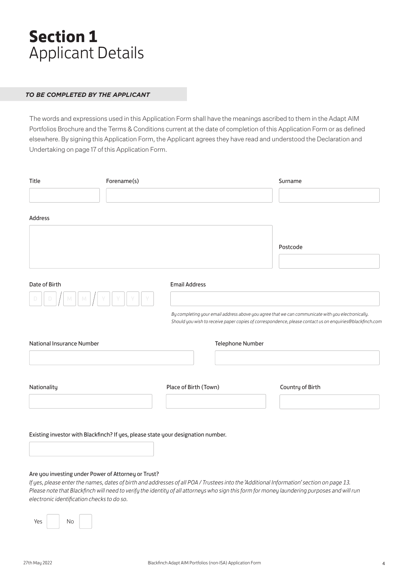# **Section 1** Applicant Details

### *TO BE COMPLETED BY THE APPLICANT*

The words and expressions used in this Application Form shall have the meanings ascribed to them in the Adapt AIM Portfolios Brochure and the Terms & Conditions current at the date of completion of this Application Form or as defined elsewhere. By signing this Application Form, the Applicant agrees they have read and understood the Declaration and Undertaking on page 17 of this Application Form.

| <b>Title</b>              | Forename(s)                                         |                                                                                  | Surname                                                                                                                                                                                                                                                                                 |
|---------------------------|-----------------------------------------------------|----------------------------------------------------------------------------------|-----------------------------------------------------------------------------------------------------------------------------------------------------------------------------------------------------------------------------------------------------------------------------------------|
|                           |                                                     |                                                                                  |                                                                                                                                                                                                                                                                                         |
| <b>Address</b>            |                                                     |                                                                                  |                                                                                                                                                                                                                                                                                         |
|                           |                                                     |                                                                                  | Postcode                                                                                                                                                                                                                                                                                |
| Date of Birth             |                                                     | <b>Email Address</b>                                                             | By completing your email address above you agree that we can communicate with you electronically.<br>Should you wish to receive paper copies of correspondence, please contact us on enquiries@blackfinch.com                                                                           |
| National Insurance Number |                                                     | Telephone Number                                                                 |                                                                                                                                                                                                                                                                                         |
| Nationality               |                                                     | Place of Birth (Town)                                                            | Country of Birth                                                                                                                                                                                                                                                                        |
|                           | Are you investing under Power of Attorney or Trust? | Existing investor with Blackfinch? If yes, please state your designation number. | If yes, please enter the names, dates of birth and addresses of all POA / Trustees into the 'Additional Information' section on page 13.<br>Please note that Blackfinch will need to verify the identity of all attorneys who sign this form for money laundering purposes and will run |

Yes No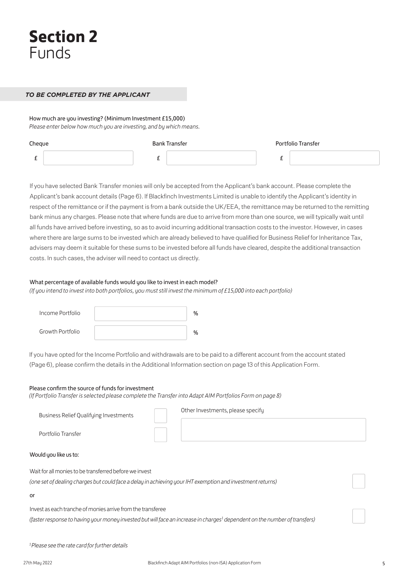#### *TO BE COMPLETED BY THE APPLICANT*

How much are you investing? (Minimum Investment £15,000) *Please enter below how much you are investing, and by which means.*

| Cheque | <b>Bank Transfer</b> | <b>Portfolio Transfer</b> |
|--------|----------------------|---------------------------|
| -      |                      |                           |

If you have selected Bank Transfer monies will only be accepted from the Applicant's bank account. Please complete the Applicant's bank account details (Page 6). If Blackfinch Investments Limited is unable to identify the Applicant's identity in respect of the remittance or if the payment is from a bank outside the UK/EEA, the remittance may be returned to the remitting bank minus any charges. Please note that where funds are due to arrive from more than one source, we will typically wait until all funds have arrived before investing, so as to avoid incurring additional transaction costs to the investor. However, in cases where there are large sums to be invested which are already believed to have qualified for Business Relief for Inheritance Tax, advisers may deem it suitable for these sums to be invested before all funds have cleared, despite the additional transaction costs. In such cases, the adviser will need to contact us directly.

#### What percentage of available funds would you like to invest in each model?

*(If you intend to invest into both portfolios, you must still invest the minimum of £15,000 into each portfolio)*

| Income Portfolio |  |
|------------------|--|
| Growth Portfolio |  |

If you have opted for the Income Portfolio and withdrawals are to be paid to a different account from the account stated (Page 6), please confirm the details in the Additional Information section on page 13 of this Application Form.

### Please confirm the source of funds for investment

*(If Portfolio Transfer is selected please complete the Transfer into Adapt AIM Portfolios Form on page 8)*

| <b>Business Relief Qualifying Investments</b><br>Portfolio Transfer                                                                                                                                   | Other Investments, please specify |  |
|-------------------------------------------------------------------------------------------------------------------------------------------------------------------------------------------------------|-----------------------------------|--|
| Would you like us to:                                                                                                                                                                                 |                                   |  |
| Wait for all monies to be transferred before we invest<br>(one set of dealing charges but could face a delay in achieving your IHT exemption and investment returns)                                  |                                   |  |
| or                                                                                                                                                                                                    |                                   |  |
| Invest as each tranche of monies arrive from the transferee<br>(faster response to having your money invested but will face an increase in charges <sup>1</sup> dependent on the number of transfers) |                                   |  |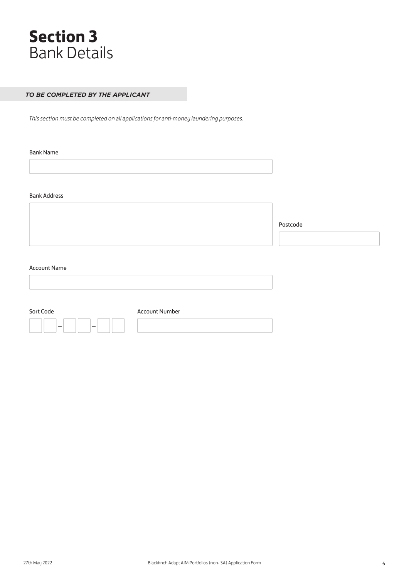

### *TO BE COMPLETED BY THE APPLICANT*

*This section must be completed on all applications for anti-money laundering purposes.*

Bank Name

Bank Address

Postcode

#### Account Name

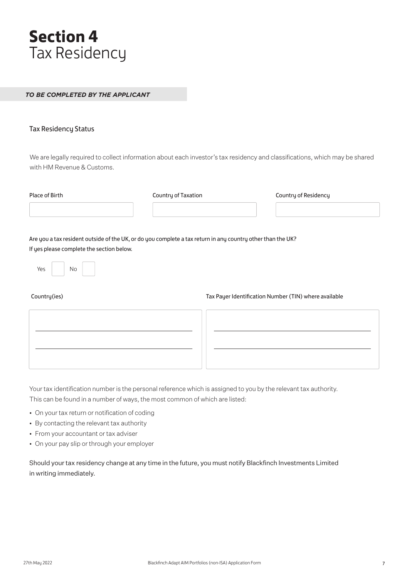# **Section 4** Tax Residency

### *TO BE COMPLETED BY THE APPLICANT*

### Tax Residency Status

We are legally required to collect information about each investor's tax residency and classifications, which may be shared with HM Revenue & Customs.

| Place of Birth                                                                                              | Country of Taxation | Country of Residency                                  |
|-------------------------------------------------------------------------------------------------------------|---------------------|-------------------------------------------------------|
|                                                                                                             |                     |                                                       |
| Are you a tax resident outside of the UK, or do you complete a tax return in any country other than the UK? |                     |                                                       |
| If yes please complete the section below.                                                                   |                     |                                                       |
| Yes<br>No                                                                                                   |                     |                                                       |
| Country(ies)                                                                                                |                     | Tax Payer Identification Number (TIN) where available |
|                                                                                                             |                     |                                                       |
|                                                                                                             |                     |                                                       |
|                                                                                                             |                     |                                                       |

Your tax identification number is the personal reference which is assigned to you by the relevant tax authority. This can be found in a number of ways, the most common of which are listed:

- On your tax return or notification of coding
- By contacting the relevant tax authority
- From your accountant or tax adviser
- On your pay slip or through your employer

Should your tax residency change at any time in the future, you must notify Blackfinch Investments Limited in writing immediately.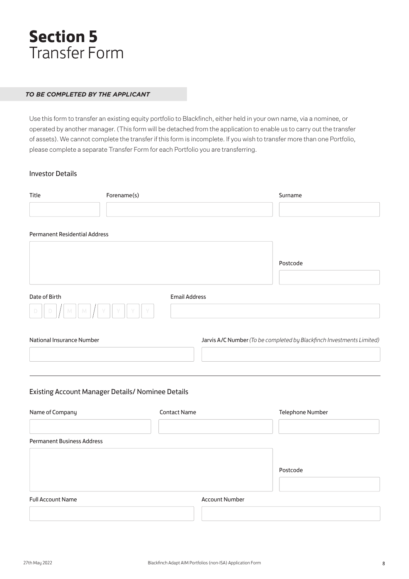# **Section 5** Transfer Form

### *TO BE COMPLETED BY THE APPLICANT*

Use this form to transfer an existing equity portfolio to Blackfinch, either held in your own name, via a nominee, or operated by another manager. (This form will be detached from the application to enable us to carry out the transfer of assets). We cannot complete the transfer if this form is incomplete. If you wish to transfer more than one Portfolio, please complete a separate Transfer Form for each Portfolio you are transferring.

### Investor Details

| Title                                             | Forename(s) |                      | Surname               |                                                                       |
|---------------------------------------------------|-------------|----------------------|-----------------------|-----------------------------------------------------------------------|
|                                                   |             |                      |                       |                                                                       |
| <b>Permanent Residential Address</b>              |             |                      |                       |                                                                       |
|                                                   |             |                      |                       |                                                                       |
|                                                   |             |                      |                       | Postcode                                                              |
|                                                   |             |                      |                       |                                                                       |
| Date of Birth                                     |             | <b>Email Address</b> |                       |                                                                       |
|                                                   |             |                      |                       |                                                                       |
|                                                   |             |                      |                       |                                                                       |
| National Insurance Number                         |             |                      |                       | Jarvis A/C Number (To be completed by Blackfinch Investments Limited) |
|                                                   |             |                      |                       |                                                                       |
|                                                   |             |                      |                       |                                                                       |
| Existing Account Manager Details/ Nominee Details |             |                      |                       |                                                                       |
| Name of Company                                   |             | <b>Contact Name</b>  |                       | Telephone Number                                                      |
|                                                   |             |                      |                       |                                                                       |
| <b>Permanent Business Address</b>                 |             |                      |                       |                                                                       |
|                                                   |             |                      |                       |                                                                       |
|                                                   |             |                      |                       | Postcode                                                              |
| <b>Full Account Name</b>                          |             |                      | <b>Account Number</b> |                                                                       |
|                                                   |             |                      |                       |                                                                       |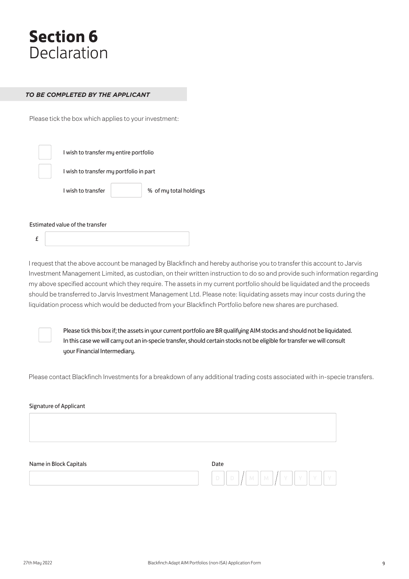# **Section 6 Declaration**

### *TO BE COMPLETED BY THE APPLICANT*

Please tick the box which applies to your investment:

| I wish to transfer my entire portfolio  |                        |
|-----------------------------------------|------------------------|
| I wish to transfer my portfolio in part |                        |
| I wish to transfer                      | % of my total holdings |
|                                         |                        |

Estimated value of the transfer

£

I request that the above account be managed by Blackfinch and hereby authorise you to transfer this account to Jarvis Investment Management Limited, as custodian, on their written instruction to do so and provide such information regarding my above specified account which they require. The assets in my current portfolio should be liquidated and the proceeds should be transferred to Jarvis Investment Management Ltd. Please note: liquidating assets may incur costs during the liquidation process which would be deducted from your Blackfinch Portfolio before new shares are purchased.



Please tick this box if; the assets in your current portfolio are BR qualifying AIM stocks and should not be liquidated. In this case we will carry out an in-specie transfer, should certain stocks not be eligible for transfer we will consult uour Financial Intermediaru.

Please contact Blackfinch Investments for a breakdown of any additional trading costs associated with in-specie transfers.

| Signature of Applicant |                                             |
|------------------------|---------------------------------------------|
|                        |                                             |
|                        |                                             |
|                        |                                             |
| Name in Block Capitals | Date                                        |
|                        | Y<br>M<br>$\Box$<br>'Y<br>Y<br>D<br>M<br>-V |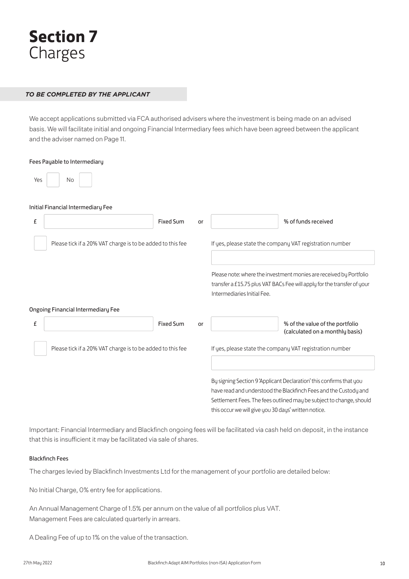

### *TO BE COMPLETED BY THE APPLICANT*

We accept applications submitted via FCA authorised advisers where the investment is being made on an advised basis. We will facilitate initial and ongoing Financial Intermediary fees which have been agreed between the applicant and the adviser named on Page 11.

| Fees Payable to Intermediary                               |    |                                                                                                                                                                                                                                                                        |
|------------------------------------------------------------|----|------------------------------------------------------------------------------------------------------------------------------------------------------------------------------------------------------------------------------------------------------------------------|
| No<br>Yes                                                  |    |                                                                                                                                                                                                                                                                        |
| Initial Financial Intermediary Fee                         |    |                                                                                                                                                                                                                                                                        |
| £<br><b>Fixed Sum</b>                                      | or | % of funds received                                                                                                                                                                                                                                                    |
| Please tick if a 20% VAT charge is to be added to this fee |    | If yes, please state the company VAT registration number                                                                                                                                                                                                               |
|                                                            |    | Please note: where the investment monies are received by Portfolio<br>transfer a £15.75 plus VAT BACs Fee will apply for the transfer of your<br>Intermediaries Initial Fee.                                                                                           |
| <b>Ongoing Financial Intermediary Fee</b>                  |    |                                                                                                                                                                                                                                                                        |
| £<br><b>Fixed Sum</b>                                      | or | % of the value of the portfolio<br>(calculated on a monthly basis)                                                                                                                                                                                                     |
| Please tick if a 20% VAT charge is to be added to this fee |    | If yes, please state the company VAT registration number                                                                                                                                                                                                               |
|                                                            |    | By signing Section 9 'Applicant Declaration' this confirms that you<br>have read and understood the Blackfinch Fees and the Custody and<br>Settlement Fees. The fees outlined may be subject to change, should<br>this occur we will give you 30 days' written notice. |

Important: Financial Intermediary and Blackfinch ongoing fees will be facilitated via cash held on deposit, in the instance that this is insufficient it may be facilitated via sale of shares.

#### Blackfinch Fees

The charges levied by Blackfinch Investments Ltd for the management of your portfolio are detailed below:

No Initial Charge, 0% entry fee for applications.

An Annual Management Charge of 1.5% per annum on the value of all portfolios plus VAT. Management Fees are calculated quarterly in arrears.

A Dealing Fee of up to 1% on the value of the transaction.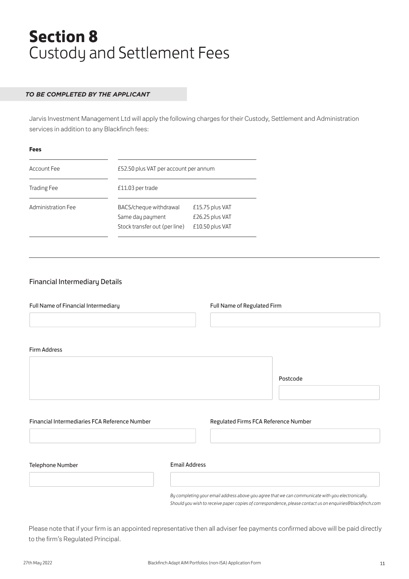# **Section 8** Custody and Settlement Fees

### *TO BE COMPLETED BY THE APPLICANT*

Jarvis Investment Management Ltd will apply the following charges for their Custody, Settlement and Administration services in addition to any Blackfinch fees:

| Account Fee        | £52.50 plus VAT per account per annum                                       |                                                       |  |
|--------------------|-----------------------------------------------------------------------------|-------------------------------------------------------|--|
| <b>Trading Fee</b> | £11.03 per trade                                                            |                                                       |  |
| Administration Fee | BACS/cheque withdrawal<br>Same day payment<br>Stock transfer out (per line) | £15.75 plus VAT<br>£26.25 plus VAT<br>£10.50 plus VAT |  |

### Financial Intermediary Details

| Full Name of Financial Intermediary           |                      | Full Name of Regulated Firm          |                                                                                                   |
|-----------------------------------------------|----------------------|--------------------------------------|---------------------------------------------------------------------------------------------------|
| <b>Firm Address</b>                           |                      |                                      |                                                                                                   |
|                                               |                      |                                      | Postcode                                                                                          |
| Financial Intermediaries FCA Reference Number |                      | Regulated Firms FCA Reference Number |                                                                                                   |
| Telephone Number                              | <b>Email Address</b> |                                      |                                                                                                   |
|                                               |                      |                                      | By completing your email address above you agree that we can communicate with you electronically. |

Please note that if your firm is an appointed representative then all adviser fee payments confirmed above will be paid directly to the firm's Regulated Principal.

*Should you wish to receive paper copies of correspondence, please contact us on enquiries@blackfinch.com*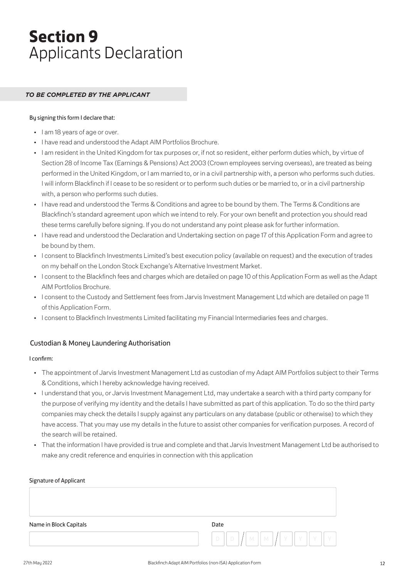# **Section 9** Applicants Declaration

### *TO BE COMPLETED BY THE APPLICANT*

#### By signing this form I declare that:

- I am 18 years of age or over.
- I have read and understood the Adapt AIM Portfolios Brochure.
- I am resident in the United Kingdom for tax purposes or, if not so resident, either perform duties which, by virtue of Section 28 of Income Tax (Earnings & Pensions) Act 2003 (Crown employees serving overseas), are treated as being performed in the United Kingdom, or I am married to, or in a civil partnership with, a person who performs such duties. I will inform Blackfinch if I cease to be so resident or to perform such duties or be married to, or in a civil partnership with, a person who performs such duties.
- I have read and understood the Terms & Conditions and agree to be bound by them. The Terms & Conditions are Blackfinch's standard agreement upon which we intend to rely. For your own benefit and protection you should read these terms carefully before signing. If you do not understand any point please ask for further information.
- I have read and understood the Declaration and Undertaking section on page 17 of this Application Form and agree to be bound by them.
- I consent to Blackfinch Investments Limited's best execution policy (available on request) and the execution of trades on my behalf on the London Stock Exchange's Alternative Investment Market.
- I consent to the Blackfinch fees and charges which are detailed on page 10 of this Application Form as well as the Adapt AIM Portfolios Brochure.
- I consent to the Custody and Settlement fees from Jarvis Investment Management Ltd which are detailed on page 11 of this Application Form.
- I consent to Blackfinch Investments Limited facilitating my Financial Intermediaries fees and charges.

### Custodian & Money Laundering Authorisation

#### I confirm:

- The appointment of Jarvis Investment Management Ltd as custodian of my Adapt AIM Portfolios subject to their Terms & Conditions, which I hereby acknowledge having received.
- I understand that you, or Jarvis Investment Management Ltd, may undertake a search with a third party company for the purpose of verifying my identity and the details I have submitted as part of this application. To do so the third party companies may check the details I supply against any particulars on any database (public or otherwise) to which they have access. That you may use my details in the future to assist other companies for verification purposes. A record of the search will be retained.
- That the information I have provided is true and complete and that Jarvis Investment Management Ltd be authorised to make any credit reference and enquiries in connection with this application

| Signature of Applicant |                                                                                                    |
|------------------------|----------------------------------------------------------------------------------------------------|
|                        |                                                                                                    |
| Name in Block Capitals | Date                                                                                               |
|                        | $\parallel$ M $\parallel$ Y $\parallel$ Y $\parallel$<br>$D$ $\mid$ $\mid$ M $\mid$<br>$\Box$<br>Y |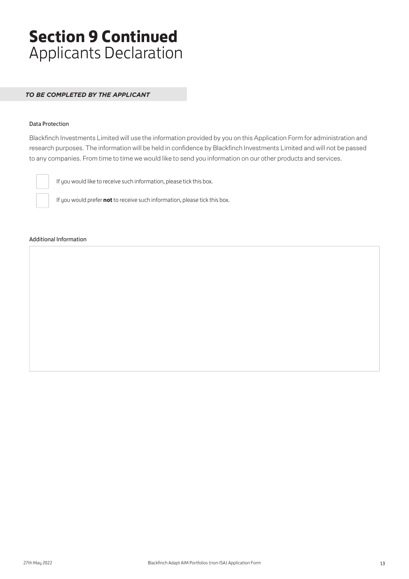# **Section 9 Continued** Applicants Declaration

### *TO BE COMPLETED BY THE APPLICANT*

### Data Protection

Blackfinch Investments Limited will use the information provided by you on this Application Form for administration and research purposes. The information will be held in confidence by Blackfinch Investments Limited and will not be passed to any companies. From time to time we would like to send you information on our other products and services.



If you would like to receive such information, please tick this box.

If you would prefer **not** to receive such information, please tick this box.

#### Additional Information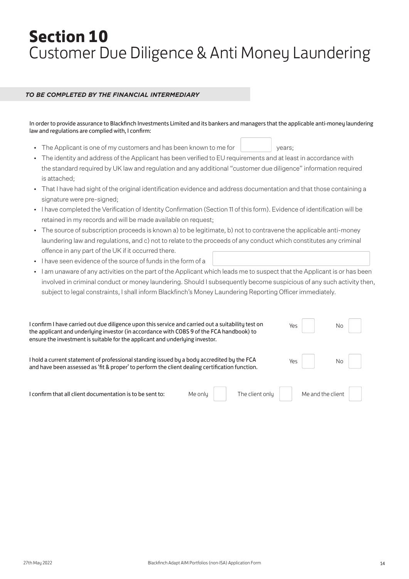# **Section 10** Customer Due Diligence & Anti Money Laundering

### *TO BE COMPLETED BY THE FINANCIAL INTERMEDIARY*

In order to provide assurance to Blackfinch Investments Limited and its bankers and managers that the applicable anti-money laundering law and regulations are complied with, I confirm:

- The Applicant is one of my customers and has been known to me for years;
- The identity and address of the Applicant has been verified to EU requirements and at least in accordance with the standard required by UK law and regulation and any additional "customer due diligence" information required is attached;
- That I have had sight of the original identification evidence and address documentation and that those containing a signature were pre-signed;
- I have completed the Verification of Identity Confirmation (Section 11 of this form). Evidence of identification will be retained in my records and will be made available on request;
- The source of subscription proceeds is known a) to be legitimate, b) not to contravene the applicable anti-money laundering law and regulations, and c) not to relate to the proceeds of any conduct which constitutes any criminal offence in any part of the UK if it occurred there.
- I have seen evidence of the source of funds in the form of a
- I am unaware of any activities on the part of the Applicant which leads me to suspect that the Applicant is or has been involved in criminal conduct or money laundering. Should I subsequently become suspicious of any such activity then, subject to legal constraints, I shall inform Blackfinch's Money Laundering Reporting Officer immediately.

| I confirm I have carried out due diligence upon this service and carried out a suitability test on<br>the applicant and underlying investor (in accordance with COBS 9 of the FCA handbook) to<br>ensure the investment is suitable for the applicant and underlying investor. | Yes l | $No$       |
|--------------------------------------------------------------------------------------------------------------------------------------------------------------------------------------------------------------------------------------------------------------------------------|-------|------------|
| I hold a current statement of professional standing issued by a body accredited by the FCA<br>and have been assessed as 'fit & proper' to perform the client dealing certification function.                                                                                   |       | Yes     No |

 $I$  confirm that all client documentation is to be sent to: Me only The client only Me and the client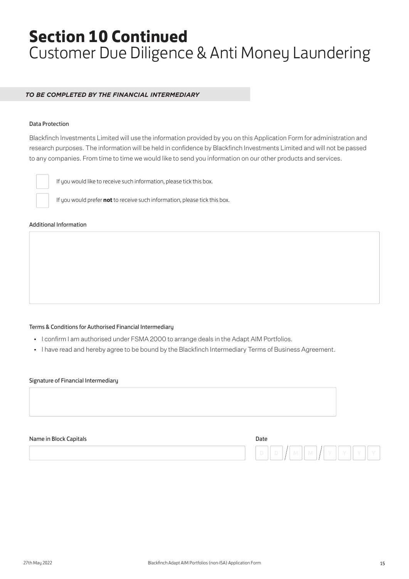# **Section 10 Continued** Customer Due Diligence & Anti Money Laundering

### *TO BE COMPLETED BY THE FINANCIAL INTERMEDIARY*

### Data Protection

Blackfinch Investments Limited will use the information provided by you on this Application Form for administration and research purposes. The information will be held in confidence by Blackfinch Investments Limited and will not be passed to any companies. From time to time we would like to send you information on our other products and services.



If you would like to receive such information, please tick this box.

If you would prefer **not** to receive such information, please tick this box.

#### Additional Information

#### Terms & Conditions for Authorised Financial Intermediary

- I confirm I am authorised under FSMA 2000 to arrange deals in the Adapt AIM Portfolios.
- I have read and hereby agree to be bound by the Blackfinch Intermediary Terms of Business Agreement.

#### Signature of Financial Intermediary



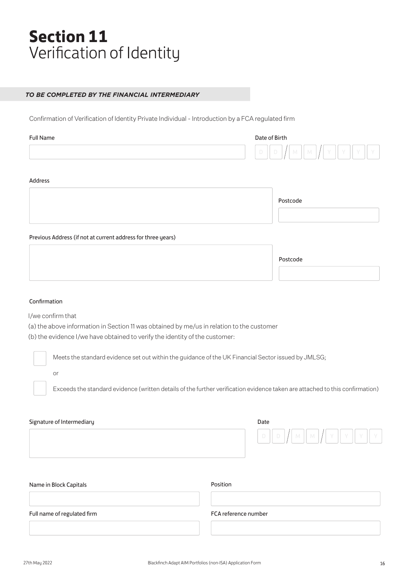# **Section 11** Verification of Identity

### *TO BE COMPLETED BY THE FINANCIAL INTERMEDIARY*

Confirmation of Verification of Identity Private Individual - Introduction by a FCA regulated firm

| Full Name | Date of Birth                       |
|-----------|-------------------------------------|
|           | D<br><b>COLLA</b><br>IVI.<br>$\sim$ |

#### Address

| Postcode |  |
|----------|--|
|          |  |

Previous Address (if not at current address for three years)

| Postcode |
|----------|
|----------|

#### Confirmation

I/we confirm that

(a) the above information in Section 11 was obtained by me/us in relation to the customer

(b) the evidence I/we have obtained to verify the identity of the customer:

Meets the standard evidence set out within the guidance of the UK Financial Sector issued by JMLSG;

or

Exceeds the standard evidence (written details of the further verification evidence taken are attached to this confirmation)

| Signature of Intermediary | Date   |
|---------------------------|--------|
|                           | D<br>٠ |

| Name in Block Capitals      | Position             |
|-----------------------------|----------------------|
|                             |                      |
| Full name of regulated firm | FCA reference number |
|                             |                      |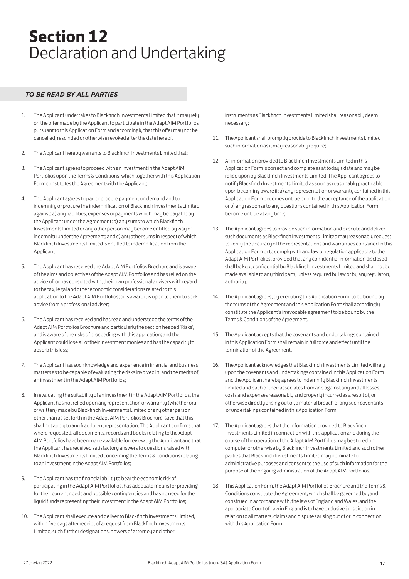# **Section 12** Declaration and Undertaking

### *TO BE READ BY ALL PARTIES*

- 1. The Applicant undertakes to Blackfinch Investments Limited that it may rely on the offer made by the Applicant to participate in the Adapt AIM Portfolios pursuant to this Application Form and accordingly that this offer may not be cancelled, rescinded or otherwise revoked after the date hereof.
- 2. The Applicant hereby warrants to Blackfinch Investments Limited that:
- 3. The Applicant agrees to proceed with an investment in the Adapt AIM Portfolios upon the Terms & Conditions, which together with this Application Form constitutes the Agreement with the Applicant;
- 4. The Applicant agrees to pay or procure payment on demand and to indemnify or procure the indemnification of Blackfinch Investments Limited against: a) any liabilities, expenses or payments which may be payable by the Applicant under the Agreement; b) any sums to which Blackfinch Investments Limited or any other person may become entitled by way of indemnity under the Agreement; and c) any other sums in respect of which Blackfinch Investments Limited is entitled to indemnification from the Applicant;
- 5. The Applicant has received the Adapt AIM Portfolios Brochure and is aware of the aims and objectives of the Adapt AIM Portfolios and has relied on the advice of, or has consulted with, their own professional advisers with regard to the tax, legal and other economic considerations related to this application to the Adapt AIM Portfolios; or is aware it is open to them to seek advice from a professional adviser;
- 6. The Applicant has received and has read and understood the terms of the Adapt AIM Portfolios Brochure and particularly the section headed 'Risks', and is aware of the risks of proceeding with this application; and the Applicant could lose all of their investment monies and has the capacity to absorb this loss;
- 7. The Applicant has such knowledge and experience in financial and business matters as to be capable of evaluating the risks involved in, and the merits of, an investment in the Adapt AIM Portfolios;
- 8. In evaluating the suitability of an investment in the Adapt AIM Portfolios, the Applicant has not relied upon any representation or warranty (whether oral or written) made by Blackfinch Investments Limited or any other person other than as set forth in the Adapt AIM Portfolios Brochure, save that this shall not apply to any fraudulent representation. The Applicant confirms that where requested, all documents, records and books relating to the Adapt AIM Portfolios have been made available for review by the Applicant and that the Applicant has received satisfactory answers to questions raised with Blackfinch Investments Limited concerning the Terms & Conditions relating to an investment in the Adapt AIM Portfolios;
- 9. The Applicant has the financial ability to bear the economic risk of participating in the Adapt AIM Portfolios, has adequate means for providing for their current needs and possible contingencies and has no need for the liquid funds representing their investment in the Adapt AIM Portfolios;
- 10. The Applicant shall execute and deliver to Blackfinch Investments Limited, within five days after receipt of a request from Blackfinch Investments Limited, such further designations, powers of attorney and other

instruments as Blackfinch Investments Limited shall reasonably deem necessary;

- 11. The Applicant shall promptly provide to Blackfinch Investments Limited such information as it may reasonably require;
- 12. All information provided to Blackfinch Investments Limited in this Application Form is correct and complete as at today's date and may be relied upon by Blackfinch Investments Limited. The Applicant agrees to notify Blackfinch Investments Limited as soon as reasonably practicable upon becoming aware if: a) any representation or warranty contained in this Application Form becomes untrue prior to the acceptance of the application; or b) any response to any questions contained in this Application Form become untrue at any time;
- 13. The Applicant agrees to provide such information and execute and deliver such documents as Blackfinch Investments Limited may reasonably request to verify the accuracy of the representations and warranties contained in this Application Form or to comply with any law or regulation applicable to the Adapt AIM Portfolios, provided that any confidential information disclosed shall be kept confidential by Blackfinch Investments Limited and shall not be made available to any third party unless required by law or by any regulatory authority.
- 14. The Applicant agrees, by executing this Application Form, to be bound by the terms of the Agreement and this Application Form shall accordingly constitute the Applicant's irrevocable agreement to be bound by the Terms & Conditions of the Agreement.
- 15. The Applicant accepts that the covenants and undertakings contained in this Application Form shall remain in full force and effect until the termination of the Agreement.
- 16. The Applicant acknowledges that Blackfinch Investments Limited will rely upon the covenants and undertakings contained in this Application Form and the Applicant hereby agrees to indemnify Blackfinch Investments Limited and each of their associates from and against any and all losses, costs and expenses reasonably and properly incurred as a result of, or otherwise directly arising out of, a material breach of any such covenants or undertakings contained in this Application Form.
- 17. The Applicant agrees that the information provided to Blackfinch Investments Limited in connection with this application and during the course of the operation of the Adapt AIM Portfolios may be stored on computer or otherwise by Blackfinch Investments Limited and such other parties that Blackfinch Investments Limited may nominate for administrative purposes and consent to the use of such information for the purpose of the ongoing administration of the Adapt AIM Portfolios.
- 18. This Application Form, the Adapt AIM Portfolios Brochure and the Terms & Conditions constitute the Agreement, which shall be governed by, and construed in accordance with, the laws of England and Wales, and the appropriate Court of Law in England is to have exclusive jurisdiction in relation to all matters, claims and disputes arising out of or in connection with this Application Form.